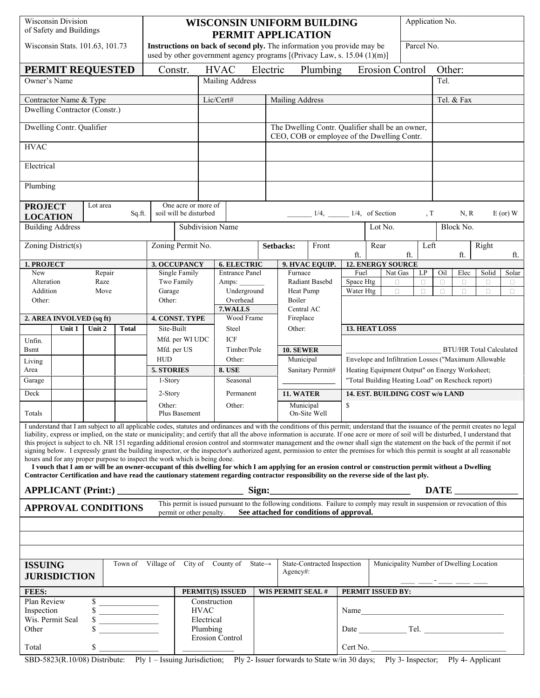| Parcel No.<br>Instructions on back of second ply. The information you provide may be<br>Wisconsin Stats. 101.63, 101.73<br>used by other government agency programs [(Privacy Law, s. $15.04$ (1)(m)]<br><b>HVAC</b><br>Electric<br>Plumbing<br>Constr.<br><b>Erosion Control</b><br>Other:<br>PERMIT REQUESTED<br>Mailing Address<br>Tel.<br>Owner's Name<br>Lic/Cert#<br>Mailing Address<br>Tel. & Fax<br>Contractor Name & Type<br>Dwelling Contractor (Constr.)<br>Dwelling Contr. Qualifier<br>The Dwelling Contr. Qualifier shall be an owner,<br>CEO, COB or employee of the Dwelling Contr.<br><b>HVAC</b><br>Electrical<br>Plumbing<br>One acre or more of<br>Lot area<br><b>PROJECT</b><br>soil will be disturbed<br>$1/4$ , _______ 1/4, of Section<br>, T<br>N, R<br>$E$ (or) $W$<br>Sq.ft.<br><b>LOCATION</b><br><b>Building Address</b><br>Lot No.<br>Block No.<br><b>Subdivision Name</b><br>Zoning District(s)<br>Zoning Permit No.<br>Setbacks:<br>Front<br>Left<br>Right<br>Rear<br>ft.<br>ft.<br>ft.<br>ft.<br>3. OCCUPANCY<br><b>12. ENERGY SOURCE</b><br>1. PROJECT<br><b>6. ELECTRIC</b><br>9. HVAC EQUIP.<br>Single Family<br><b>Entrance Panel</b><br>Elec<br>New<br>Repair<br>Furnace<br>Fuel<br>Nat Gas<br>LP<br>Oil<br>Solid<br>Solar<br>Alteration<br>Two Family<br>Radiant Basebd<br>Space Htg<br>Raze<br>Amps:<br>Ω<br>$\Box$<br>о<br>□<br>Ω<br>$\Box$<br>Addition<br>Underground<br>Heat Pump<br>Water Htg<br>$\Box$<br>Move<br>Garage<br>$\Box$<br>$\Box$<br>$\Box$<br>$\Box$<br>П<br>Overhead<br>Boiler<br>Other:<br>Other:<br>7.WALLS<br>Central AC<br>2. AREA INVOLVED (sq ft)<br><b>4. CONST. TYPE</b><br>Wood Frame<br>Fireplace<br>13. HEAT LOSS<br>Unit 2<br><b>Total</b><br>Site-Built<br>Unit 1<br>Steel<br>Other:<br><b>ICF</b><br>Mfd. per WI UDC<br>Unfin.<br><b>10. SEWER</b><br><b>B</b> smt<br>Mfd. per US<br>Timber/Pole<br><b>BTU/HR Total Calculated</b><br>Envelope and Infiltration Losses ("Maximum Allowable<br><b>HUD</b><br>Municipal<br>Other:<br>Living<br>Heating Equipment Output" on Energy Worksheet;<br>Area<br><b>5. STORIES</b><br>8. USE<br>Sanitary Permit#<br>"Total Building Heating Load" on Rescheck report)<br>1-Story<br>Seasonal<br>Garage<br>Deck<br>14. EST. BUILDING COST w/o LAND<br>11. WATER<br>2-Story<br>Permanent<br>Other:<br>Other:<br>Municipal<br>\$<br>On-Site Well<br>Totals<br>Plus Basement<br>I understand that I am subject to all applicable codes, statutes and ordinances and with the conditions of this permit; understand that the issuance of the permit creates no legal<br>liability, express or implied, on the state or municipality; and certify that all the above information is accurate. If one acre or more of soil will be disturbed, I understand that<br>this project is subject to ch. NR 151 regarding additional erosion control and stormwater management and the owner shall sign the statement on the back of the permit if not<br>signing below. I expressly grant the building inspector, or the inspector's authorized agent, permission to enter the premises for which this permit is sought at all reasonable<br>hours and for any proper purpose to inspect the work which is being done.<br>I vouch that I am or will be an owner-occupant of this dwelling for which I am applying for an erosion control or construction permit without a Dwelling<br>Contractor Certification and have read the cautionary statement regarding contractor responsibility on the reverse side of the last ply.<br><b>DATE</b><br>This permit is issued pursuant to the following conditions. Failure to comply may result in suspension or revocation of this<br><b>APPROVAL CONDITIONS</b><br>See attached for conditions of approval.<br>permit or other penalty.<br>Town of Village of City of County of State $\rightarrow$<br>State-Contracted Inspection<br>Municipality Number of Dwelling Location<br><b>ISSUING</b><br>$Agency\#$ :<br><b>JURISDICTION</b> | <b>Wisconsin Division</b><br>of Safety and Buildings                                                                                 |  |  |  |  | <b>WISCONSIN UNIFORM BUILDING</b><br>PERMIT APPLICATION |  |  |  |  |  |  |  |  | Application No. |  |  |  |  |  |
|--------------------------------------------------------------------------------------------------------------------------------------------------------------------------------------------------------------------------------------------------------------------------------------------------------------------------------------------------------------------------------------------------------------------------------------------------------------------------------------------------------------------------------------------------------------------------------------------------------------------------------------------------------------------------------------------------------------------------------------------------------------------------------------------------------------------------------------------------------------------------------------------------------------------------------------------------------------------------------------------------------------------------------------------------------------------------------------------------------------------------------------------------------------------------------------------------------------------------------------------------------------------------------------------------------------------------------------------------------------------------------------------------------------------------------------------------------------------------------------------------------------------------------------------------------------------------------------------------------------------------------------------------------------------------------------------------------------------------------------------------------------------------------------------------------------------------------------------------------------------------------------------------------------------------------------------------------------------------------------------------------------------------------------------------------------------------------------------------------------------------------------------------------------------------------------------------------------------------------------------------------------------------------------------------------------------------------------------------------------------------------------------------------------------------------------------------------------------------------------------------------------------------------------------------------------------------------------------------------------------------------------------------------------------------------------------------------------------------------------------------------------------------------------------------------------------------------------------------------------------------------------------------------------------------------------------------------------------------------------------------------------------------------------------------------------------------------------------------------------------------------------------------------------------------------------------------------------------------------------------------------------------------------------------------------------------------------------------------------------------------------------------------------------------------------------------------------------------------------------------------------------------------------------------------------------------------------------------------------------------------------------------------------------------------------------------------------------------------------------------------------------------------------------------------------------------------------------------------------------------------------------------------------------------------------------------------------------------------------------|--------------------------------------------------------------------------------------------------------------------------------------|--|--|--|--|---------------------------------------------------------|--|--|--|--|--|--|--|--|-----------------|--|--|--|--|--|
|                                                                                                                                                                                                                                                                                                                                                                                                                                                                                                                                                                                                                                                                                                                                                                                                                                                                                                                                                                                                                                                                                                                                                                                                                                                                                                                                                                                                                                                                                                                                                                                                                                                                                                                                                                                                                                                                                                                                                                                                                                                                                                                                                                                                                                                                                                                                                                                                                                                                                                                                                                                                                                                                                                                                                                                                                                                                                                                                                                                                                                                                                                                                                                                                                                                                                                                                                                                                                                                                                                                                                                                                                                                                                                                                                                                                                                                                                                                                                                                      |                                                                                                                                      |  |  |  |  |                                                         |  |  |  |  |  |  |  |  |                 |  |  |  |  |  |
|                                                                                                                                                                                                                                                                                                                                                                                                                                                                                                                                                                                                                                                                                                                                                                                                                                                                                                                                                                                                                                                                                                                                                                                                                                                                                                                                                                                                                                                                                                                                                                                                                                                                                                                                                                                                                                                                                                                                                                                                                                                                                                                                                                                                                                                                                                                                                                                                                                                                                                                                                                                                                                                                                                                                                                                                                                                                                                                                                                                                                                                                                                                                                                                                                                                                                                                                                                                                                                                                                                                                                                                                                                                                                                                                                                                                                                                                                                                                                                                      |                                                                                                                                      |  |  |  |  |                                                         |  |  |  |  |  |  |  |  |                 |  |  |  |  |  |
|                                                                                                                                                                                                                                                                                                                                                                                                                                                                                                                                                                                                                                                                                                                                                                                                                                                                                                                                                                                                                                                                                                                                                                                                                                                                                                                                                                                                                                                                                                                                                                                                                                                                                                                                                                                                                                                                                                                                                                                                                                                                                                                                                                                                                                                                                                                                                                                                                                                                                                                                                                                                                                                                                                                                                                                                                                                                                                                                                                                                                                                                                                                                                                                                                                                                                                                                                                                                                                                                                                                                                                                                                                                                                                                                                                                                                                                                                                                                                                                      |                                                                                                                                      |  |  |  |  |                                                         |  |  |  |  |  |  |  |  |                 |  |  |  |  |  |
|                                                                                                                                                                                                                                                                                                                                                                                                                                                                                                                                                                                                                                                                                                                                                                                                                                                                                                                                                                                                                                                                                                                                                                                                                                                                                                                                                                                                                                                                                                                                                                                                                                                                                                                                                                                                                                                                                                                                                                                                                                                                                                                                                                                                                                                                                                                                                                                                                                                                                                                                                                                                                                                                                                                                                                                                                                                                                                                                                                                                                                                                                                                                                                                                                                                                                                                                                                                                                                                                                                                                                                                                                                                                                                                                                                                                                                                                                                                                                                                      |                                                                                                                                      |  |  |  |  |                                                         |  |  |  |  |  |  |  |  |                 |  |  |  |  |  |
|                                                                                                                                                                                                                                                                                                                                                                                                                                                                                                                                                                                                                                                                                                                                                                                                                                                                                                                                                                                                                                                                                                                                                                                                                                                                                                                                                                                                                                                                                                                                                                                                                                                                                                                                                                                                                                                                                                                                                                                                                                                                                                                                                                                                                                                                                                                                                                                                                                                                                                                                                                                                                                                                                                                                                                                                                                                                                                                                                                                                                                                                                                                                                                                                                                                                                                                                                                                                                                                                                                                                                                                                                                                                                                                                                                                                                                                                                                                                                                                      |                                                                                                                                      |  |  |  |  |                                                         |  |  |  |  |  |  |  |  |                 |  |  |  |  |  |
|                                                                                                                                                                                                                                                                                                                                                                                                                                                                                                                                                                                                                                                                                                                                                                                                                                                                                                                                                                                                                                                                                                                                                                                                                                                                                                                                                                                                                                                                                                                                                                                                                                                                                                                                                                                                                                                                                                                                                                                                                                                                                                                                                                                                                                                                                                                                                                                                                                                                                                                                                                                                                                                                                                                                                                                                                                                                                                                                                                                                                                                                                                                                                                                                                                                                                                                                                                                                                                                                                                                                                                                                                                                                                                                                                                                                                                                                                                                                                                                      |                                                                                                                                      |  |  |  |  |                                                         |  |  |  |  |  |  |  |  |                 |  |  |  |  |  |
|                                                                                                                                                                                                                                                                                                                                                                                                                                                                                                                                                                                                                                                                                                                                                                                                                                                                                                                                                                                                                                                                                                                                                                                                                                                                                                                                                                                                                                                                                                                                                                                                                                                                                                                                                                                                                                                                                                                                                                                                                                                                                                                                                                                                                                                                                                                                                                                                                                                                                                                                                                                                                                                                                                                                                                                                                                                                                                                                                                                                                                                                                                                                                                                                                                                                                                                                                                                                                                                                                                                                                                                                                                                                                                                                                                                                                                                                                                                                                                                      |                                                                                                                                      |  |  |  |  |                                                         |  |  |  |  |  |  |  |  |                 |  |  |  |  |  |
|                                                                                                                                                                                                                                                                                                                                                                                                                                                                                                                                                                                                                                                                                                                                                                                                                                                                                                                                                                                                                                                                                                                                                                                                                                                                                                                                                                                                                                                                                                                                                                                                                                                                                                                                                                                                                                                                                                                                                                                                                                                                                                                                                                                                                                                                                                                                                                                                                                                                                                                                                                                                                                                                                                                                                                                                                                                                                                                                                                                                                                                                                                                                                                                                                                                                                                                                                                                                                                                                                                                                                                                                                                                                                                                                                                                                                                                                                                                                                                                      |                                                                                                                                      |  |  |  |  |                                                         |  |  |  |  |  |  |  |  |                 |  |  |  |  |  |
|                                                                                                                                                                                                                                                                                                                                                                                                                                                                                                                                                                                                                                                                                                                                                                                                                                                                                                                                                                                                                                                                                                                                                                                                                                                                                                                                                                                                                                                                                                                                                                                                                                                                                                                                                                                                                                                                                                                                                                                                                                                                                                                                                                                                                                                                                                                                                                                                                                                                                                                                                                                                                                                                                                                                                                                                                                                                                                                                                                                                                                                                                                                                                                                                                                                                                                                                                                                                                                                                                                                                                                                                                                                                                                                                                                                                                                                                                                                                                                                      |                                                                                                                                      |  |  |  |  |                                                         |  |  |  |  |  |  |  |  |                 |  |  |  |  |  |
|                                                                                                                                                                                                                                                                                                                                                                                                                                                                                                                                                                                                                                                                                                                                                                                                                                                                                                                                                                                                                                                                                                                                                                                                                                                                                                                                                                                                                                                                                                                                                                                                                                                                                                                                                                                                                                                                                                                                                                                                                                                                                                                                                                                                                                                                                                                                                                                                                                                                                                                                                                                                                                                                                                                                                                                                                                                                                                                                                                                                                                                                                                                                                                                                                                                                                                                                                                                                                                                                                                                                                                                                                                                                                                                                                                                                                                                                                                                                                                                      |                                                                                                                                      |  |  |  |  |                                                         |  |  |  |  |  |  |  |  |                 |  |  |  |  |  |
|                                                                                                                                                                                                                                                                                                                                                                                                                                                                                                                                                                                                                                                                                                                                                                                                                                                                                                                                                                                                                                                                                                                                                                                                                                                                                                                                                                                                                                                                                                                                                                                                                                                                                                                                                                                                                                                                                                                                                                                                                                                                                                                                                                                                                                                                                                                                                                                                                                                                                                                                                                                                                                                                                                                                                                                                                                                                                                                                                                                                                                                                                                                                                                                                                                                                                                                                                                                                                                                                                                                                                                                                                                                                                                                                                                                                                                                                                                                                                                                      |                                                                                                                                      |  |  |  |  |                                                         |  |  |  |  |  |  |  |  |                 |  |  |  |  |  |
|                                                                                                                                                                                                                                                                                                                                                                                                                                                                                                                                                                                                                                                                                                                                                                                                                                                                                                                                                                                                                                                                                                                                                                                                                                                                                                                                                                                                                                                                                                                                                                                                                                                                                                                                                                                                                                                                                                                                                                                                                                                                                                                                                                                                                                                                                                                                                                                                                                                                                                                                                                                                                                                                                                                                                                                                                                                                                                                                                                                                                                                                                                                                                                                                                                                                                                                                                                                                                                                                                                                                                                                                                                                                                                                                                                                                                                                                                                                                                                                      |                                                                                                                                      |  |  |  |  |                                                         |  |  |  |  |  |  |  |  |                 |  |  |  |  |  |
|                                                                                                                                                                                                                                                                                                                                                                                                                                                                                                                                                                                                                                                                                                                                                                                                                                                                                                                                                                                                                                                                                                                                                                                                                                                                                                                                                                                                                                                                                                                                                                                                                                                                                                                                                                                                                                                                                                                                                                                                                                                                                                                                                                                                                                                                                                                                                                                                                                                                                                                                                                                                                                                                                                                                                                                                                                                                                                                                                                                                                                                                                                                                                                                                                                                                                                                                                                                                                                                                                                                                                                                                                                                                                                                                                                                                                                                                                                                                                                                      |                                                                                                                                      |  |  |  |  |                                                         |  |  |  |  |  |  |  |  |                 |  |  |  |  |  |
|                                                                                                                                                                                                                                                                                                                                                                                                                                                                                                                                                                                                                                                                                                                                                                                                                                                                                                                                                                                                                                                                                                                                                                                                                                                                                                                                                                                                                                                                                                                                                                                                                                                                                                                                                                                                                                                                                                                                                                                                                                                                                                                                                                                                                                                                                                                                                                                                                                                                                                                                                                                                                                                                                                                                                                                                                                                                                                                                                                                                                                                                                                                                                                                                                                                                                                                                                                                                                                                                                                                                                                                                                                                                                                                                                                                                                                                                                                                                                                                      |                                                                                                                                      |  |  |  |  |                                                         |  |  |  |  |  |  |  |  |                 |  |  |  |  |  |
|                                                                                                                                                                                                                                                                                                                                                                                                                                                                                                                                                                                                                                                                                                                                                                                                                                                                                                                                                                                                                                                                                                                                                                                                                                                                                                                                                                                                                                                                                                                                                                                                                                                                                                                                                                                                                                                                                                                                                                                                                                                                                                                                                                                                                                                                                                                                                                                                                                                                                                                                                                                                                                                                                                                                                                                                                                                                                                                                                                                                                                                                                                                                                                                                                                                                                                                                                                                                                                                                                                                                                                                                                                                                                                                                                                                                                                                                                                                                                                                      |                                                                                                                                      |  |  |  |  |                                                         |  |  |  |  |  |  |  |  |                 |  |  |  |  |  |
|                                                                                                                                                                                                                                                                                                                                                                                                                                                                                                                                                                                                                                                                                                                                                                                                                                                                                                                                                                                                                                                                                                                                                                                                                                                                                                                                                                                                                                                                                                                                                                                                                                                                                                                                                                                                                                                                                                                                                                                                                                                                                                                                                                                                                                                                                                                                                                                                                                                                                                                                                                                                                                                                                                                                                                                                                                                                                                                                                                                                                                                                                                                                                                                                                                                                                                                                                                                                                                                                                                                                                                                                                                                                                                                                                                                                                                                                                                                                                                                      |                                                                                                                                      |  |  |  |  |                                                         |  |  |  |  |  |  |  |  |                 |  |  |  |  |  |
|                                                                                                                                                                                                                                                                                                                                                                                                                                                                                                                                                                                                                                                                                                                                                                                                                                                                                                                                                                                                                                                                                                                                                                                                                                                                                                                                                                                                                                                                                                                                                                                                                                                                                                                                                                                                                                                                                                                                                                                                                                                                                                                                                                                                                                                                                                                                                                                                                                                                                                                                                                                                                                                                                                                                                                                                                                                                                                                                                                                                                                                                                                                                                                                                                                                                                                                                                                                                                                                                                                                                                                                                                                                                                                                                                                                                                                                                                                                                                                                      |                                                                                                                                      |  |  |  |  |                                                         |  |  |  |  |  |  |  |  |                 |  |  |  |  |  |
|                                                                                                                                                                                                                                                                                                                                                                                                                                                                                                                                                                                                                                                                                                                                                                                                                                                                                                                                                                                                                                                                                                                                                                                                                                                                                                                                                                                                                                                                                                                                                                                                                                                                                                                                                                                                                                                                                                                                                                                                                                                                                                                                                                                                                                                                                                                                                                                                                                                                                                                                                                                                                                                                                                                                                                                                                                                                                                                                                                                                                                                                                                                                                                                                                                                                                                                                                                                                                                                                                                                                                                                                                                                                                                                                                                                                                                                                                                                                                                                      |                                                                                                                                      |  |  |  |  |                                                         |  |  |  |  |  |  |  |  |                 |  |  |  |  |  |
|                                                                                                                                                                                                                                                                                                                                                                                                                                                                                                                                                                                                                                                                                                                                                                                                                                                                                                                                                                                                                                                                                                                                                                                                                                                                                                                                                                                                                                                                                                                                                                                                                                                                                                                                                                                                                                                                                                                                                                                                                                                                                                                                                                                                                                                                                                                                                                                                                                                                                                                                                                                                                                                                                                                                                                                                                                                                                                                                                                                                                                                                                                                                                                                                                                                                                                                                                                                                                                                                                                                                                                                                                                                                                                                                                                                                                                                                                                                                                                                      |                                                                                                                                      |  |  |  |  |                                                         |  |  |  |  |  |  |  |  |                 |  |  |  |  |  |
|                                                                                                                                                                                                                                                                                                                                                                                                                                                                                                                                                                                                                                                                                                                                                                                                                                                                                                                                                                                                                                                                                                                                                                                                                                                                                                                                                                                                                                                                                                                                                                                                                                                                                                                                                                                                                                                                                                                                                                                                                                                                                                                                                                                                                                                                                                                                                                                                                                                                                                                                                                                                                                                                                                                                                                                                                                                                                                                                                                                                                                                                                                                                                                                                                                                                                                                                                                                                                                                                                                                                                                                                                                                                                                                                                                                                                                                                                                                                                                                      |                                                                                                                                      |  |  |  |  |                                                         |  |  |  |  |  |  |  |  |                 |  |  |  |  |  |
|                                                                                                                                                                                                                                                                                                                                                                                                                                                                                                                                                                                                                                                                                                                                                                                                                                                                                                                                                                                                                                                                                                                                                                                                                                                                                                                                                                                                                                                                                                                                                                                                                                                                                                                                                                                                                                                                                                                                                                                                                                                                                                                                                                                                                                                                                                                                                                                                                                                                                                                                                                                                                                                                                                                                                                                                                                                                                                                                                                                                                                                                                                                                                                                                                                                                                                                                                                                                                                                                                                                                                                                                                                                                                                                                                                                                                                                                                                                                                                                      |                                                                                                                                      |  |  |  |  |                                                         |  |  |  |  |  |  |  |  |                 |  |  |  |  |  |
|                                                                                                                                                                                                                                                                                                                                                                                                                                                                                                                                                                                                                                                                                                                                                                                                                                                                                                                                                                                                                                                                                                                                                                                                                                                                                                                                                                                                                                                                                                                                                                                                                                                                                                                                                                                                                                                                                                                                                                                                                                                                                                                                                                                                                                                                                                                                                                                                                                                                                                                                                                                                                                                                                                                                                                                                                                                                                                                                                                                                                                                                                                                                                                                                                                                                                                                                                                                                                                                                                                                                                                                                                                                                                                                                                                                                                                                                                                                                                                                      |                                                                                                                                      |  |  |  |  |                                                         |  |  |  |  |  |  |  |  |                 |  |  |  |  |  |
|                                                                                                                                                                                                                                                                                                                                                                                                                                                                                                                                                                                                                                                                                                                                                                                                                                                                                                                                                                                                                                                                                                                                                                                                                                                                                                                                                                                                                                                                                                                                                                                                                                                                                                                                                                                                                                                                                                                                                                                                                                                                                                                                                                                                                                                                                                                                                                                                                                                                                                                                                                                                                                                                                                                                                                                                                                                                                                                                                                                                                                                                                                                                                                                                                                                                                                                                                                                                                                                                                                                                                                                                                                                                                                                                                                                                                                                                                                                                                                                      |                                                                                                                                      |  |  |  |  |                                                         |  |  |  |  |  |  |  |  |                 |  |  |  |  |  |
|                                                                                                                                                                                                                                                                                                                                                                                                                                                                                                                                                                                                                                                                                                                                                                                                                                                                                                                                                                                                                                                                                                                                                                                                                                                                                                                                                                                                                                                                                                                                                                                                                                                                                                                                                                                                                                                                                                                                                                                                                                                                                                                                                                                                                                                                                                                                                                                                                                                                                                                                                                                                                                                                                                                                                                                                                                                                                                                                                                                                                                                                                                                                                                                                                                                                                                                                                                                                                                                                                                                                                                                                                                                                                                                                                                                                                                                                                                                                                                                      |                                                                                                                                      |  |  |  |  |                                                         |  |  |  |  |  |  |  |  |                 |  |  |  |  |  |
|                                                                                                                                                                                                                                                                                                                                                                                                                                                                                                                                                                                                                                                                                                                                                                                                                                                                                                                                                                                                                                                                                                                                                                                                                                                                                                                                                                                                                                                                                                                                                                                                                                                                                                                                                                                                                                                                                                                                                                                                                                                                                                                                                                                                                                                                                                                                                                                                                                                                                                                                                                                                                                                                                                                                                                                                                                                                                                                                                                                                                                                                                                                                                                                                                                                                                                                                                                                                                                                                                                                                                                                                                                                                                                                                                                                                                                                                                                                                                                                      |                                                                                                                                      |  |  |  |  |                                                         |  |  |  |  |  |  |  |  |                 |  |  |  |  |  |
|                                                                                                                                                                                                                                                                                                                                                                                                                                                                                                                                                                                                                                                                                                                                                                                                                                                                                                                                                                                                                                                                                                                                                                                                                                                                                                                                                                                                                                                                                                                                                                                                                                                                                                                                                                                                                                                                                                                                                                                                                                                                                                                                                                                                                                                                                                                                                                                                                                                                                                                                                                                                                                                                                                                                                                                                                                                                                                                                                                                                                                                                                                                                                                                                                                                                                                                                                                                                                                                                                                                                                                                                                                                                                                                                                                                                                                                                                                                                                                                      |                                                                                                                                      |  |  |  |  |                                                         |  |  |  |  |  |  |  |  |                 |  |  |  |  |  |
|                                                                                                                                                                                                                                                                                                                                                                                                                                                                                                                                                                                                                                                                                                                                                                                                                                                                                                                                                                                                                                                                                                                                                                                                                                                                                                                                                                                                                                                                                                                                                                                                                                                                                                                                                                                                                                                                                                                                                                                                                                                                                                                                                                                                                                                                                                                                                                                                                                                                                                                                                                                                                                                                                                                                                                                                                                                                                                                                                                                                                                                                                                                                                                                                                                                                                                                                                                                                                                                                                                                                                                                                                                                                                                                                                                                                                                                                                                                                                                                      |                                                                                                                                      |  |  |  |  |                                                         |  |  |  |  |  |  |  |  |                 |  |  |  |  |  |
|                                                                                                                                                                                                                                                                                                                                                                                                                                                                                                                                                                                                                                                                                                                                                                                                                                                                                                                                                                                                                                                                                                                                                                                                                                                                                                                                                                                                                                                                                                                                                                                                                                                                                                                                                                                                                                                                                                                                                                                                                                                                                                                                                                                                                                                                                                                                                                                                                                                                                                                                                                                                                                                                                                                                                                                                                                                                                                                                                                                                                                                                                                                                                                                                                                                                                                                                                                                                                                                                                                                                                                                                                                                                                                                                                                                                                                                                                                                                                                                      |                                                                                                                                      |  |  |  |  |                                                         |  |  |  |  |  |  |  |  |                 |  |  |  |  |  |
|                                                                                                                                                                                                                                                                                                                                                                                                                                                                                                                                                                                                                                                                                                                                                                                                                                                                                                                                                                                                                                                                                                                                                                                                                                                                                                                                                                                                                                                                                                                                                                                                                                                                                                                                                                                                                                                                                                                                                                                                                                                                                                                                                                                                                                                                                                                                                                                                                                                                                                                                                                                                                                                                                                                                                                                                                                                                                                                                                                                                                                                                                                                                                                                                                                                                                                                                                                                                                                                                                                                                                                                                                                                                                                                                                                                                                                                                                                                                                                                      |                                                                                                                                      |  |  |  |  |                                                         |  |  |  |  |  |  |  |  |                 |  |  |  |  |  |
|                                                                                                                                                                                                                                                                                                                                                                                                                                                                                                                                                                                                                                                                                                                                                                                                                                                                                                                                                                                                                                                                                                                                                                                                                                                                                                                                                                                                                                                                                                                                                                                                                                                                                                                                                                                                                                                                                                                                                                                                                                                                                                                                                                                                                                                                                                                                                                                                                                                                                                                                                                                                                                                                                                                                                                                                                                                                                                                                                                                                                                                                                                                                                                                                                                                                                                                                                                                                                                                                                                                                                                                                                                                                                                                                                                                                                                                                                                                                                                                      |                                                                                                                                      |  |  |  |  |                                                         |  |  |  |  |  |  |  |  |                 |  |  |  |  |  |
|                                                                                                                                                                                                                                                                                                                                                                                                                                                                                                                                                                                                                                                                                                                                                                                                                                                                                                                                                                                                                                                                                                                                                                                                                                                                                                                                                                                                                                                                                                                                                                                                                                                                                                                                                                                                                                                                                                                                                                                                                                                                                                                                                                                                                                                                                                                                                                                                                                                                                                                                                                                                                                                                                                                                                                                                                                                                                                                                                                                                                                                                                                                                                                                                                                                                                                                                                                                                                                                                                                                                                                                                                                                                                                                                                                                                                                                                                                                                                                                      |                                                                                                                                      |  |  |  |  |                                                         |  |  |  |  |  |  |  |  |                 |  |  |  |  |  |
|                                                                                                                                                                                                                                                                                                                                                                                                                                                                                                                                                                                                                                                                                                                                                                                                                                                                                                                                                                                                                                                                                                                                                                                                                                                                                                                                                                                                                                                                                                                                                                                                                                                                                                                                                                                                                                                                                                                                                                                                                                                                                                                                                                                                                                                                                                                                                                                                                                                                                                                                                                                                                                                                                                                                                                                                                                                                                                                                                                                                                                                                                                                                                                                                                                                                                                                                                                                                                                                                                                                                                                                                                                                                                                                                                                                                                                                                                                                                                                                      |                                                                                                                                      |  |  |  |  |                                                         |  |  |  |  |  |  |  |  |                 |  |  |  |  |  |
|                                                                                                                                                                                                                                                                                                                                                                                                                                                                                                                                                                                                                                                                                                                                                                                                                                                                                                                                                                                                                                                                                                                                                                                                                                                                                                                                                                                                                                                                                                                                                                                                                                                                                                                                                                                                                                                                                                                                                                                                                                                                                                                                                                                                                                                                                                                                                                                                                                                                                                                                                                                                                                                                                                                                                                                                                                                                                                                                                                                                                                                                                                                                                                                                                                                                                                                                                                                                                                                                                                                                                                                                                                                                                                                                                                                                                                                                                                                                                                                      |                                                                                                                                      |  |  |  |  |                                                         |  |  |  |  |  |  |  |  |                 |  |  |  |  |  |
| PERMIT ISSUED BY:<br>FEES:<br>PERMIT(S) ISSUED<br><b>WIS PERMIT SEAL #</b>                                                                                                                                                                                                                                                                                                                                                                                                                                                                                                                                                                                                                                                                                                                                                                                                                                                                                                                                                                                                                                                                                                                                                                                                                                                                                                                                                                                                                                                                                                                                                                                                                                                                                                                                                                                                                                                                                                                                                                                                                                                                                                                                                                                                                                                                                                                                                                                                                                                                                                                                                                                                                                                                                                                                                                                                                                                                                                                                                                                                                                                                                                                                                                                                                                                                                                                                                                                                                                                                                                                                                                                                                                                                                                                                                                                                                                                                                                           |                                                                                                                                      |  |  |  |  |                                                         |  |  |  |  |  |  |  |  |                 |  |  |  |  |  |
| Plan Review<br>$\frac{1}{\sqrt{2}}$<br>Construction                                                                                                                                                                                                                                                                                                                                                                                                                                                                                                                                                                                                                                                                                                                                                                                                                                                                                                                                                                                                                                                                                                                                                                                                                                                                                                                                                                                                                                                                                                                                                                                                                                                                                                                                                                                                                                                                                                                                                                                                                                                                                                                                                                                                                                                                                                                                                                                                                                                                                                                                                                                                                                                                                                                                                                                                                                                                                                                                                                                                                                                                                                                                                                                                                                                                                                                                                                                                                                                                                                                                                                                                                                                                                                                                                                                                                                                                                                                                  | Inspection                                                                                                                           |  |  |  |  |                                                         |  |  |  |  |  |  |  |  |                 |  |  |  |  |  |
| $\frac{\$}{\ \ }$<br><b>HVAC</b><br>Wis. Permit Seal<br>Electrical                                                                                                                                                                                                                                                                                                                                                                                                                                                                                                                                                                                                                                                                                                                                                                                                                                                                                                                                                                                                                                                                                                                                                                                                                                                                                                                                                                                                                                                                                                                                                                                                                                                                                                                                                                                                                                                                                                                                                                                                                                                                                                                                                                                                                                                                                                                                                                                                                                                                                                                                                                                                                                                                                                                                                                                                                                                                                                                                                                                                                                                                                                                                                                                                                                                                                                                                                                                                                                                                                                                                                                                                                                                                                                                                                                                                                                                                                                                   | $\begin{array}{c} \begin{array}{c} \begin{array}{c} \begin{array}{c} \end{array} \\ \end{array} \end{array} \end{array} \end{array}$ |  |  |  |  |                                                         |  |  |  |  |  |  |  |  |                 |  |  |  |  |  |
| Plumbing<br>Other                                                                                                                                                                                                                                                                                                                                                                                                                                                                                                                                                                                                                                                                                                                                                                                                                                                                                                                                                                                                                                                                                                                                                                                                                                                                                                                                                                                                                                                                                                                                                                                                                                                                                                                                                                                                                                                                                                                                                                                                                                                                                                                                                                                                                                                                                                                                                                                                                                                                                                                                                                                                                                                                                                                                                                                                                                                                                                                                                                                                                                                                                                                                                                                                                                                                                                                                                                                                                                                                                                                                                                                                                                                                                                                                                                                                                                                                                                                                                                    |                                                                                                                                      |  |  |  |  |                                                         |  |  |  |  |  |  |  |  |                 |  |  |  |  |  |
| <b>Erosion Control</b>                                                                                                                                                                                                                                                                                                                                                                                                                                                                                                                                                                                                                                                                                                                                                                                                                                                                                                                                                                                                                                                                                                                                                                                                                                                                                                                                                                                                                                                                                                                                                                                                                                                                                                                                                                                                                                                                                                                                                                                                                                                                                                                                                                                                                                                                                                                                                                                                                                                                                                                                                                                                                                                                                                                                                                                                                                                                                                                                                                                                                                                                                                                                                                                                                                                                                                                                                                                                                                                                                                                                                                                                                                                                                                                                                                                                                                                                                                                                                               |                                                                                                                                      |  |  |  |  |                                                         |  |  |  |  |  |  |  |  |                 |  |  |  |  |  |
| Total \$<br>SBD-5823(R.10/08) Distribute: Ply 1 – Issuing Jurisdiction; Ply 2- Issuer forwards to State w/in 30 days; Ply 3- Inspector; Ply 4- Applicant                                                                                                                                                                                                                                                                                                                                                                                                                                                                                                                                                                                                                                                                                                                                                                                                                                                                                                                                                                                                                                                                                                                                                                                                                                                                                                                                                                                                                                                                                                                                                                                                                                                                                                                                                                                                                                                                                                                                                                                                                                                                                                                                                                                                                                                                                                                                                                                                                                                                                                                                                                                                                                                                                                                                                                                                                                                                                                                                                                                                                                                                                                                                                                                                                                                                                                                                                                                                                                                                                                                                                                                                                                                                                                                                                                                                                             |                                                                                                                                      |  |  |  |  |                                                         |  |  |  |  |  |  |  |  |                 |  |  |  |  |  |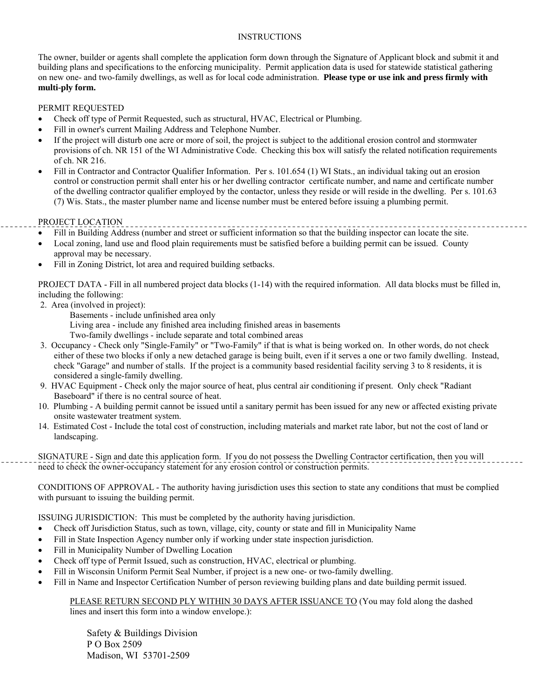## INSTRUCTIONS

The owner, builder or agents shall complete the application form down through the Signature of Applicant block and submit it and building plans and specifications to the enforcing municipality. Permit application data is used for statewide statistical gathering on new one- and two-family dwellings, as well as for local code administration. **Please type or use ink and press firmly with multi-ply form.**

## PERMIT REQUESTED

- Check off type of Permit Requested, such as structural, HVAC, Electrical or Plumbing.
- Fill in owner's current Mailing Address and Telephone Number.
- If the project will disturb one acre or more of soil, the project is subject to the additional erosion control and stormwater provisions of ch. NR 151 of the WI Administrative Code. Checking this box will satisfy the related notification requirements of ch. NR 216.
- Fill in Contractor and Contractor Qualifier Information. Per s. 101.654 (1) WI Stats., an individual taking out an erosion control or construction permit shall enter his or her dwelling contractor certificate number, and name and certificate number of the dwelling contractor qualifier employed by the contactor, unless they reside or will reside in the dwelling. Per s. 101.63 (7) Wis. Stats., the master plumber name and license number must be entered before issuing a plumbing permit.

## PROJECT LOCATION

- Fill in Building Address (number and street or sufficient information so that the building inspector can locate the site.
- Local zoning, land use and flood plain requirements must be satisfied before a building permit can be issued. County approval may be necessary.
- Fill in Zoning District, lot area and required building setbacks.

PROJECT DATA - Fill in all numbered project data blocks (1-14) with the required information. All data blocks must be filled in, including the following:

- 2. Area (involved in project):
	- Basements include unfinished area only
	- Living area include any finished area including finished areas in basements
	- Two-family dwellings include separate and total combined areas
- 3. Occupancy Check only "Single-Family" or "Two-Family" if that is what is being worked on. In other words, do not check either of these two blocks if only a new detached garage is being built, even if it serves a one or two family dwelling. Instead, check "Garage" and number of stalls. If the project is a community based residential facility serving 3 to 8 residents, it is considered a single-family dwelling.
- 9. HVAC Equipment Check only the major source of heat, plus central air conditioning if present. Only check "Radiant Baseboard" if there is no central source of heat.
- 10. Plumbing A building permit cannot be issued until a sanitary permit has been issued for any new or affected existing private onsite wastewater treatment system.
- 14. Estimated Cost Include the total cost of construction, including materials and market rate labor, but not the cost of land or landscaping.

SIGNATURE - Sign and date this application form. If you do not possess the Dwelling Contractor certification, then you will need to check the owner-occupancy statement for any erosion control or construction permits.

CONDITIONS OF APPROVAL - The authority having jurisdiction uses this section to state any conditions that must be complied with pursuant to issuing the building permit.

ISSUING JURISDICTION: This must be completed by the authority having jurisdiction.

- Check off Jurisdiction Status, such as town, village, city, county or state and fill in Municipality Name
- Fill in State Inspection Agency number only if working under state inspection jurisdiction.
- Fill in Municipality Number of Dwelling Location
- Check off type of Permit Issued, such as construction, HVAC, electrical or plumbing.
- Fill in Wisconsin Uniform Permit Seal Number, if project is a new one- or two-family dwelling.
- Fill in Name and Inspector Certification Number of person reviewing building plans and date building permit issued.

#### PLEASE RETURN SECOND PLY WITHIN 30 DAYS AFTER ISSUANCE TO (You may fold along the dashed lines and insert this form into a window envelope.):

 Safety & Buildings Division P O Box 2509 Madison, WI 53701-2509